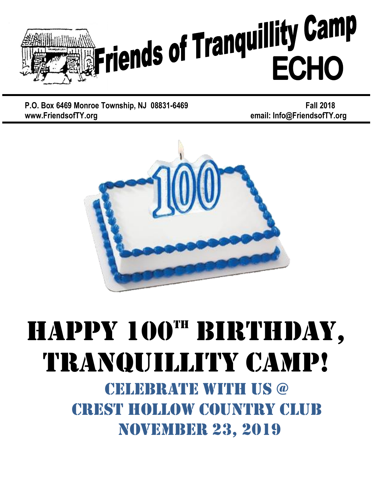

**P.O. Box 6469 Monroe Township, NJ 08831-6469 <b>Fall** 2018 **www.FriendsofTY.org email: Info@FriendsofTY.org**



# HAPPY 100TH BIRTHDAY, TRANQUILLITY Camp!

CELEBRATE WITH US @ Crest Hollow Country Club November 23, 2019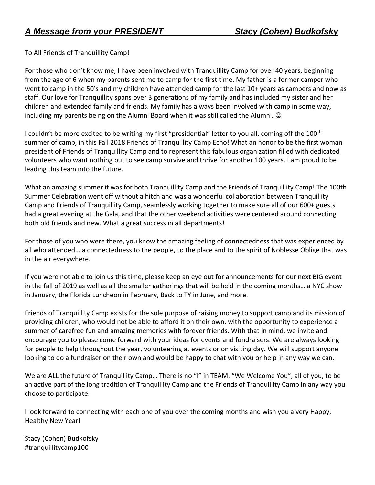To All Friends of Tranquillity Camp!

For those who don't know me, I have been involved with Tranquillity Camp for over 40 years, beginning from the age of 6 when my parents sent me to camp for the first time. My father is a former camper who went to camp in the 50's and my children have attended camp for the last 10+ years as campers and now as staff. Our love for Tranquillity spans over 3 generations of my family and has included my sister and her children and extended family and friends. My family has always been involved with camp in some way, including my parents being on the Alumni Board when it was still called the Alumni.  $\odot$ 

I couldn't be more excited to be writing my first "presidential" letter to you all, coming off the 100<sup>th</sup> summer of camp, in this Fall 2018 Friends of Tranquillity Camp Echo! What an honor to be the first woman president of Friends of Tranquillity Camp and to represent this fabulous organization filled with dedicated volunteers who want nothing but to see camp survive and thrive for another 100 years. I am proud to be leading this team into the future.

What an amazing summer it was for both Tranquillity Camp and the Friends of Tranquillity Camp! The 100th Summer Celebration went off without a hitch and was a wonderful collaboration between Tranquillity Camp and Friends of Tranquillity Camp, seamlessly working together to make sure all of our 600+ guests had a great evening at the Gala, and that the other weekend activities were centered around connecting both old friends and new. What a great success in all departments!

For those of you who were there, you know the amazing feeling of connectedness that was experienced by all who attended… a connectedness to the people, to the place and to the spirit of Noblesse Oblige that was in the air everywhere.

If you were not able to join us this time, please keep an eye out for announcements for our next BIG event in the fall of 2019 as well as all the smaller gatherings that will be held in the coming months… a NYC show in January, the Florida Luncheon in February, Back to TY in June, and more.

Friends of Tranquillity Camp exists for the sole purpose of raising money to support camp and its mission of providing children, who would not be able to afford it on their own, with the opportunity to experience a summer of carefree fun and amazing memories with forever friends. With that in mind, we invite and encourage you to please come forward with your ideas for events and fundraisers. We are always looking for people to help throughout the year, volunteering at events or on visiting day. We will support anyone looking to do a fundraiser on their own and would be happy to chat with you or help in any way we can.

We are ALL the future of Tranquillity Camp… There is no "I" in TEAM. "We Welcome You", all of you, to be an active part of the long tradition of Tranquillity Camp and the Friends of Tranquillity Camp in any way you choose to participate.

I look forward to connecting with each one of you over the coming months and wish you a very Happy, Healthy New Year!

Stacy (Cohen) Budkofsky #tranquillitycamp100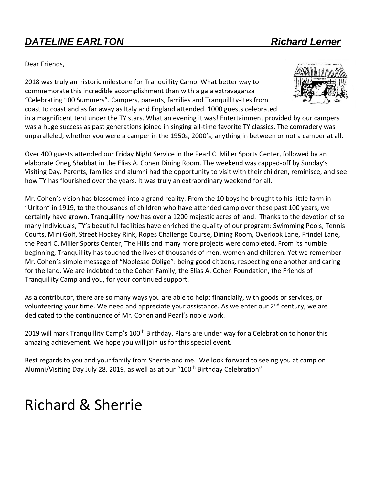#### *DATELINE EARLTON\_\_\_\_\_\_\_\_\_\_\_\_\_\_\_\_\_\_\_\_\_\_\_\_\_\_\_Richard Lerner*

Dear Friends,

2018 was truly an historic milestone for Tranquillity Camp. What better way to commemorate this incredible accomplishment than with a gala extravaganza "Celebrating 100 Summers". Campers, parents, families and Tranquillity-ites from coast to coast and as far away as Italy and England attended. 1000 guests celebrated



in a magnificent tent under the TY stars. What an evening it was! Entertainment provided by our campers was a huge success as past generations joined in singing all-time favorite TY classics. The comradery was unparalleled, whether you were a camper in the 1950s, 2000's, anything in between or not a camper at all.

Over 400 guests attended our Friday Night Service in the Pearl C. Miller Sports Center, followed by an elaborate Oneg Shabbat in the Elias A. Cohen Dining Room. The weekend was capped-off by Sunday's Visiting Day. Parents, families and alumni had the opportunity to visit with their children, reminisce, and see how TY has flourished over the years. It was truly an extraordinary weekend for all.

Mr. Cohen's vision has blossomed into a grand reality. From the 10 boys he brought to his little farm in "Urlton" in 1919, to the thousands of children who have attended camp over these past 100 years, we certainly have grown. Tranquillity now has over a 1200 majestic acres of land. Thanks to the devotion of so many individuals, TY's beautiful facilities have enriched the quality of our program: Swimming Pools, Tennis Courts, Mini Golf, Street Hockey Rink, Ropes Challenge Course, Dining Room, Overlook Lane, Frindel Lane, the Pearl C. Miller Sports Center, The Hills and many more projects were completed. From its humble beginning, Tranquillity has touched the lives of thousands of men, women and children. Yet we remember Mr. Cohen's simple message of "Noblesse Oblige": being good citizens, respecting one another and caring for the land. We are indebted to the Cohen Family, the Elias A. Cohen Foundation, the Friends of Tranquillity Camp and you, for your continued support.

As a contributor, there are so many ways you are able to help: financially, with goods or services, or volunteering your time. We need and appreciate your assistance. As we enter our 2<sup>nd</sup> century, we are dedicated to the continuance of Mr. Cohen and Pearl's noble work.

2019 will mark Tranquillity Camp's 100<sup>th</sup> Birthday. Plans are under way for a Celebration to honor this amazing achievement. We hope you will join us for this special event.

Best regards to you and your family from Sherrie and me. We look forward to seeing you at camp on Alumni/Visiting Day July 28, 2019, as well as at our "100<sup>th</sup> Birthday Celebration".

### Richard & Sherrie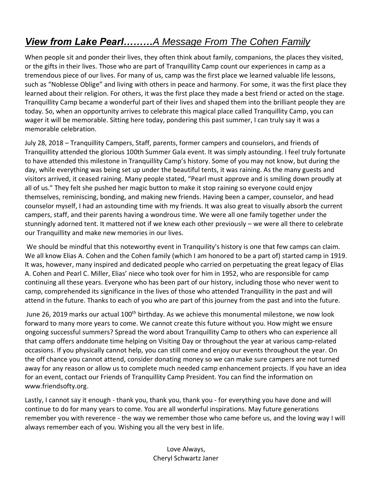#### *View from Lake Pearl………A Message From The Cohen Family*

When people sit and ponder their lives, they often think about family, companions, the places they visited, or the gifts in their lives. Those who are part of Tranquillity Camp count our experiences in camp as a tremendous piece of our lives. For many of us, camp was the first place we learned valuable life lessons, such as "Noblesse Oblige" and living with others in peace and harmony. For some, it was the first place they learned about their religion. For others, it was the first place they made a best friend or acted on the stage. Tranquillity Camp became a wonderful part of their lives and shaped them into the brilliant people they are today. So, when an opportunity arrives to celebrate this magical place called Tranquillity Camp, you can wager it will be memorable. Sitting here today, pondering this past summer, I can truly say it was a memorable celebration.

July 28, 2018 – Tranquillity Campers, Staff, parents, former campers and counselors, and friends of Tranquillity attended the glorious 100th Summer Gala event. It was simply astounding. I feel truly fortunate to have attended this milestone in Tranquillity Camp's history. Some of you may not know, but during the day, while everything was being set up under the beautiful tents, it was raining. As the many guests and visitors arrived, it ceased raining. Many people stated, "Pearl must approve and is smiling down proudly at all of us." They felt she pushed her magic button to make it stop raining so everyone could enjoy themselves, reminiscing, bonding, and making new friends. Having been a camper, counselor, and head counselor myself, I had an astounding time with my friends. It was also great to visually absorb the current campers, staff, and their parents having a wondrous time. We were all one family together under the stunningly adorned tent. It mattered not if we knew each other previously – we were all there to celebrate our Tranquillity and make new memories in our lives.

We should be mindful that this noteworthy event in Tranquility's history is one that few camps can claim. We all know Elias A. Cohen and the Cohen family (which I am honored to be a part of) started camp in 1919. It was, however, many inspired and dedicated people who carried on perpetuating the great legacy of Elias A. Cohen and Pearl C. Miller, Elias' niece who took over for him in 1952, who are responsible for camp continuing all these years. Everyone who has been part of our history, including those who never went to camp, comprehended its significance in the lives of those who attended Tranquillity in the past and will attend in the future. Thanks to each of you who are part of this journey from the past and into the future.

June 26, 2019 marks our actual 100<sup>th</sup> birthday. As we achieve this monumental milestone, we now look forward to many more years to come. We cannot create this future without you. How might we ensure ongoing successful summers? Spread the word about Tranquillity Camp to others who can experience all that camp offers anddonate time helping on Visiting Day or throughout the year at various camp-related occasions. If you physically cannot help, you can still come and enjoy our events throughout the year. On the off chance you cannot attend, consider donating money so we can make sure campers are not turned away for any reason or allow us to complete much needed camp enhancement projects. If you have an idea for an event, contact our Friends of Tranquillity Camp President. You can find the information on [www.friendsofty.org.](http://www.friendsofty.org/)

Lastly, I cannot say it enough - thank you, thank you, thank you - for everything you have done and will continue to do for many years to come. You are all wonderful inspirations. May future generations remember you with reverence - the way we remember those who came before us, and the loving way I will always remember each of you. Wishing you all the very best in life.

> Love Always, Cheryl Schwartz Janer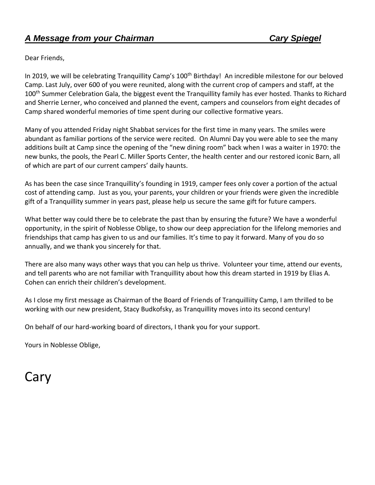Dear Friends,

In 2019, we will be celebrating Tranquillity Camp's 100<sup>th</sup> Birthday! An incredible milestone for our beloved Camp. Last July, over 600 of you were reunited, along with the current crop of campers and staff, at the 100<sup>th</sup> Summer Celebration Gala, the biggest event the Tranquillity family has ever hosted. Thanks to Richard and Sherrie Lerner, who conceived and planned the event, campers and counselors from eight decades of Camp shared wonderful memories of time spent during our collective formative years.

Many of you attended Friday night Shabbat services for the first time in many years. The smiles were abundant as familiar portions of the service were recited. On Alumni Day you were able to see the many additions built at Camp since the opening of the "new dining room" back when I was a waiter in 1970: the new bunks, the pools, the Pearl C. Miller Sports Center, the health center and our restored iconic Barn, all of which are part of our current campers' daily haunts.

As has been the case since Tranquillity's founding in 1919, camper fees only cover a portion of the actual cost of attending camp. Just as you, your parents, your children or your friends were given the incredible gift of a Tranquillity summer in years past, please help us secure the same gift for future campers.

What better way could there be to celebrate the past than by ensuring the future? We have a wonderful opportunity, in the spirit of Noblesse Oblige, to show our deep appreciation for the lifelong memories and friendships that camp has given to us and our families. It's time to pay it forward. Many of you do so annually, and we thank you sincerely for that.

There are also many ways other ways that you can help us thrive. Volunteer your time, attend our events, and tell parents who are not familiar with Tranquillity about how this dream started in 1919 by Elias A. Cohen can enrich their children's development.

As I close my first message as Chairman of the Board of Friends of Tranquilliity Camp, I am thrilled to be working with our new president, Stacy Budkofsky, as Tranquillity moves into its second century!

On behalf of our hard-working board of directors, I thank you for your support.

Yours in Noblesse Oblige,

### Cary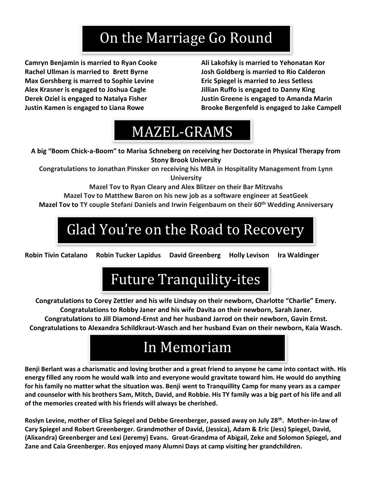### On the Marriage Go Round

**Camryn Benjamin is married to Ryan Cooke Ali Lakofsky is married to Yehonatan Kor Rachel Ullman is married to Brett Byrne Josh Goldberg is married to Rio Calderon Max Gershberg is marred to Sophie Levine Eric Spiegel is married to Jess Setless Alex Krasner is engaged to Joshua Cagle Jillian Ruffo is engaged to Danny King Derek Oziel is engaged to Natalya Fisher Justin Greene is engaged to Amanda Marin**

**Justin Kamen is engaged to Liana Rowe Brooke Bergenfeld is engaged to Jake Campell**

### MAZEL-GRAMS

**A big "Boom Chick-a-Boom" to Marisa Schneberg on receiving her Doctorate in Physical Therapy from Stony Brook University**

**Congratulations to Jonathan Pinsker on receiving his MBA in Hospitality Management from Lynn University**

**Mazel Tov to Ryan Cleary and Alex Blitzer on their Bar Mitzvahs**

**Mazel Tov to Matthew Baron on his new job as a software engineer at SeatGeek**

**Mazel Tov to TY couple Stefani Daniels and Irwin Feigenbaum on their 60th Wedding Anniversary**

## Glad You're on the Road to Recovery

**Robin Tivin Catalano Robin Tucker Lapidus David Greenberg Holly Levison Ira Waldinger**

### Future Tranquility-ites

**Congratulations to Corey Zettler and his wife Lindsay on their newborn, Charlotte "Charlie" Emery. Congratulations to Robby Janer and his wife Davita on their newborn, Sarah Janer.**

**Congratulations to Jill Diamond-Ernst and her husband Jarrod on their newborn, Gavin Ernst. Congratulations to Alexandra Schildkraut-Wasch and her husband Evan on their newborn, Kaia Wasch.**



**Benji Berlant was a charismatic and loving brother and a great friend to anyone he came into contact with. His energy filled any room he would walk into and everyone would gravitate toward him. He would do anything for his family no matter what the situation was. Benji went to Tranquillity Camp for many years as a camper and counselor with his brothers Sam, Mitch, David, and Robbie. His TY family was a big part of his life and all of the memories created with his friends will always be cherished.**

**Roslyn Levine, mother of Elisa Spiegel and Debbe Greenberger, passed away on July 28th . Mother-in-law of Cary Spiegel and Robert Greenberger. Grandmother of David, (Jessica), Adam & Eric (Jess) Spiegel, David, (Alixandra) Greenberger and Lexi (Jeremy) Evans. Great-Grandma of Abigail, Zeke and Solomon Spiegel, and Zane and Caia Greenberger. Ros enjoyed many Alumni Days at camp visiting her grandchildren.**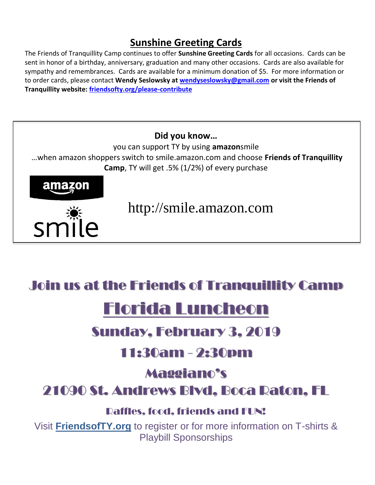#### **Sunshine Greeting Cards**

The Friends of Tranquillity Camp continues to offer **Sunshine Greeting Cards** for all occasions. Cards can be sent in honor of a birthday, anniversary, graduation and many other occasions. Cards are also available for sympathy and remembrances. Cards are available for a minimum donation of \$5. For more information or to order cards, please contact **Wendy Seslowsky at [wendyseslowsky@gmail.com](mailto:wendyseslowsky@gmail.com) or visit the Friends of Tranquillity website: friendsofty.org/please-contribute**



#### Join us at the Friends of Tranquillity Camp

### Florida Luncheon

#### Sunday, February 3, 2019

#### 11:30am - 2:30pm

#### Maggiano's

#### 21090 St. Andrews Blvd, Boca Raton, FL

#### Raffles, food, friends and FUN!

Visit **FriendsofTY.org** to register or for more information on T-shirts & Playbill Sponsorships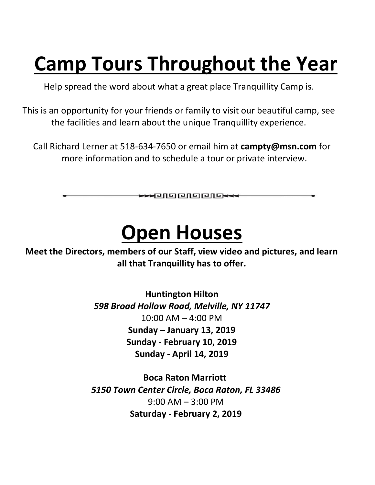# **Camp Tours Throughout the Year**

Help spread the word about what a great place Tranquillity Camp is.

This is an opportunity for your friends or family to visit our beautiful camp, see the facilities and learn about the unique Tranquillity experience.

Call Richard Lerner at 518-634-7650 or email him at **[campty@msn.com](mailto:campty@msn.com)** for more information and to schedule a tour or private interview.

\*\*\* 00000000

# **Open Houses**

**Meet the Directors, members of our Staff, view video and pictures, and learn all that Tranquillity has to offer.**

> **Huntington Hilton** *598 Broad Hollow Road, Melville, NY 11747* 10:00 AM – 4:00 PM **Sunday – January 13, 2019 Sunday - February 10, 2019 Sunday - April 14, 2019**

**Boca Raton Marriott** *5150 Town Center Circle, Boca Raton, FL 33486* 9:00 AM – 3:00 PM **Saturday - February 2, 2019**